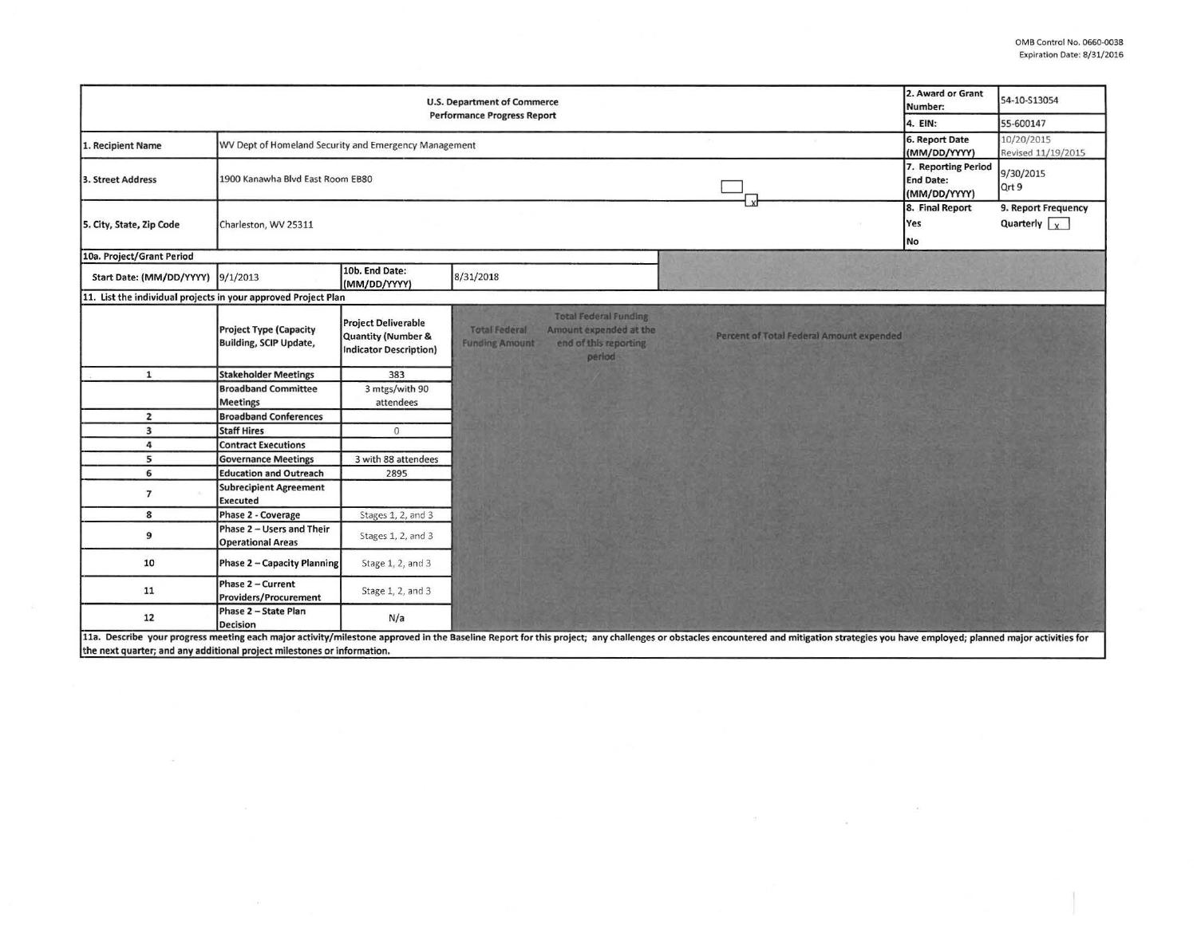$\mathcal{C}^{\text{max}}$  . The set of  $\mathcal{C}^{\text{max}}$ 

 $\sim 10^{-10}$ 

|                                                                |                                                                |                                                                            | <b>U.S. Department of Commerce</b>                                                                                                          |                                                                                                                                                                                                                                | 2. Award or Grant<br>Number:                            | 54-10-S13054                                |
|----------------------------------------------------------------|----------------------------------------------------------------|----------------------------------------------------------------------------|---------------------------------------------------------------------------------------------------------------------------------------------|--------------------------------------------------------------------------------------------------------------------------------------------------------------------------------------------------------------------------------|---------------------------------------------------------|---------------------------------------------|
| <b>Performance Progress Report</b>                             |                                                                |                                                                            |                                                                                                                                             |                                                                                                                                                                                                                                |                                                         | 55-600147                                   |
| 1. Recipient Name                                              | WV Dept of Homeland Security and Emergency Management          |                                                                            |                                                                                                                                             |                                                                                                                                                                                                                                | 6. Report Date<br>(MM/DD/YYYY)                          | 10/20/2015<br>Revised 11/19/2015            |
| 3. Street Address                                              | 1900 Kanawha Blvd East Room EB80                               |                                                                            |                                                                                                                                             | $\boldsymbol{x}$                                                                                                                                                                                                               | 7. Reporting Period<br><b>End Date:</b><br>(MM/DD/YYYY) | 9/30/2015<br>Qrt 9                          |
| 5. City, State, Zip Code                                       | Charleston, WV 25311                                           |                                                                            |                                                                                                                                             |                                                                                                                                                                                                                                | 8. Final Report<br>Yes<br>No                            | 9. Report Frequency<br>Quarterly $\sqrt{x}$ |
| 10a. Project/Grant Period                                      |                                                                |                                                                            |                                                                                                                                             |                                                                                                                                                                                                                                |                                                         |                                             |
| Start Date: (MM/DD/YYYY)                                       | 9/1/2013                                                       | 10b. End Date:<br>(MM/DD/YYYY)                                             | 8/31/2018                                                                                                                                   |                                                                                                                                                                                                                                |                                                         |                                             |
| 11. List the individual projects in your approved Project Plan |                                                                |                                                                            |                                                                                                                                             |                                                                                                                                                                                                                                |                                                         |                                             |
|                                                                | <b>Project Type (Capacity</b><br><b>Building, SCIP Update,</b> | <b>Project Deliverable</b><br>Quantity (Number &<br>Indicator Description) | <b>Total Federal Funding</b><br><b>Total Federal</b><br>Amount expended at the<br>end of this reporting.<br><b>Funding Amount</b><br>period | Percent of Total Federal Amount expended                                                                                                                                                                                       |                                                         |                                             |
| $\mathbf{1}$                                                   | <b>Stakeholder Meetings</b>                                    | 383                                                                        |                                                                                                                                             |                                                                                                                                                                                                                                |                                                         |                                             |
|                                                                | <b>Broadband Committee</b>                                     | 3 mtgs/with 90                                                             |                                                                                                                                             |                                                                                                                                                                                                                                |                                                         |                                             |
|                                                                | <b>Meetings</b>                                                | attendees                                                                  |                                                                                                                                             |                                                                                                                                                                                                                                |                                                         |                                             |
| $\overline{2}$                                                 | <b>Broadband Conferences</b>                                   |                                                                            |                                                                                                                                             |                                                                                                                                                                                                                                |                                                         |                                             |
| $\overline{\mathbf{3}}$                                        | <b>Staff Hires</b>                                             | $\mathbf{0}$                                                               |                                                                                                                                             |                                                                                                                                                                                                                                |                                                         |                                             |
| 4                                                              | <b>Contract Executions</b>                                     |                                                                            |                                                                                                                                             |                                                                                                                                                                                                                                |                                                         |                                             |
| 5                                                              | <b>Governance Meetings</b>                                     | 3 with 88 attendees                                                        |                                                                                                                                             |                                                                                                                                                                                                                                |                                                         |                                             |
| 6                                                              | <b>Education and Outreach</b>                                  | 2895                                                                       |                                                                                                                                             |                                                                                                                                                                                                                                |                                                         |                                             |
| $\overline{7}$                                                 | <b>Subrecipient Agreement</b><br><b>Executed</b>               |                                                                            |                                                                                                                                             |                                                                                                                                                                                                                                |                                                         |                                             |
| 8                                                              | Phase 2 - Coverage                                             | Stages 1, 2, and 3                                                         |                                                                                                                                             |                                                                                                                                                                                                                                |                                                         |                                             |
| 9                                                              | Phase 2 - Users and Their<br><b>Operational Areas</b>          | Stages 1, 2, and 3                                                         |                                                                                                                                             |                                                                                                                                                                                                                                |                                                         |                                             |
| 10                                                             | <b>Phase 2 - Capacity Planning</b>                             | Stage 1, 2, and 3                                                          |                                                                                                                                             |                                                                                                                                                                                                                                |                                                         |                                             |
| 11                                                             | Phase 2 - Current<br><b>Providers/Procurement</b>              | Stage 1, 2, and 3                                                          |                                                                                                                                             |                                                                                                                                                                                                                                |                                                         |                                             |
| 12                                                             | Phase 2 - State Plan<br><b>Decision</b>                        | N/a                                                                        |                                                                                                                                             |                                                                                                                                                                                                                                |                                                         |                                             |
|                                                                |                                                                |                                                                            |                                                                                                                                             | 11a. Describe your progress meeting each major activity/milestone approved in the Baseline Report for this project; any challenges or obstacles encountered and mitigation strategies you have employed; planned major activit |                                                         |                                             |

the next quarter; and any additional project milestones or information.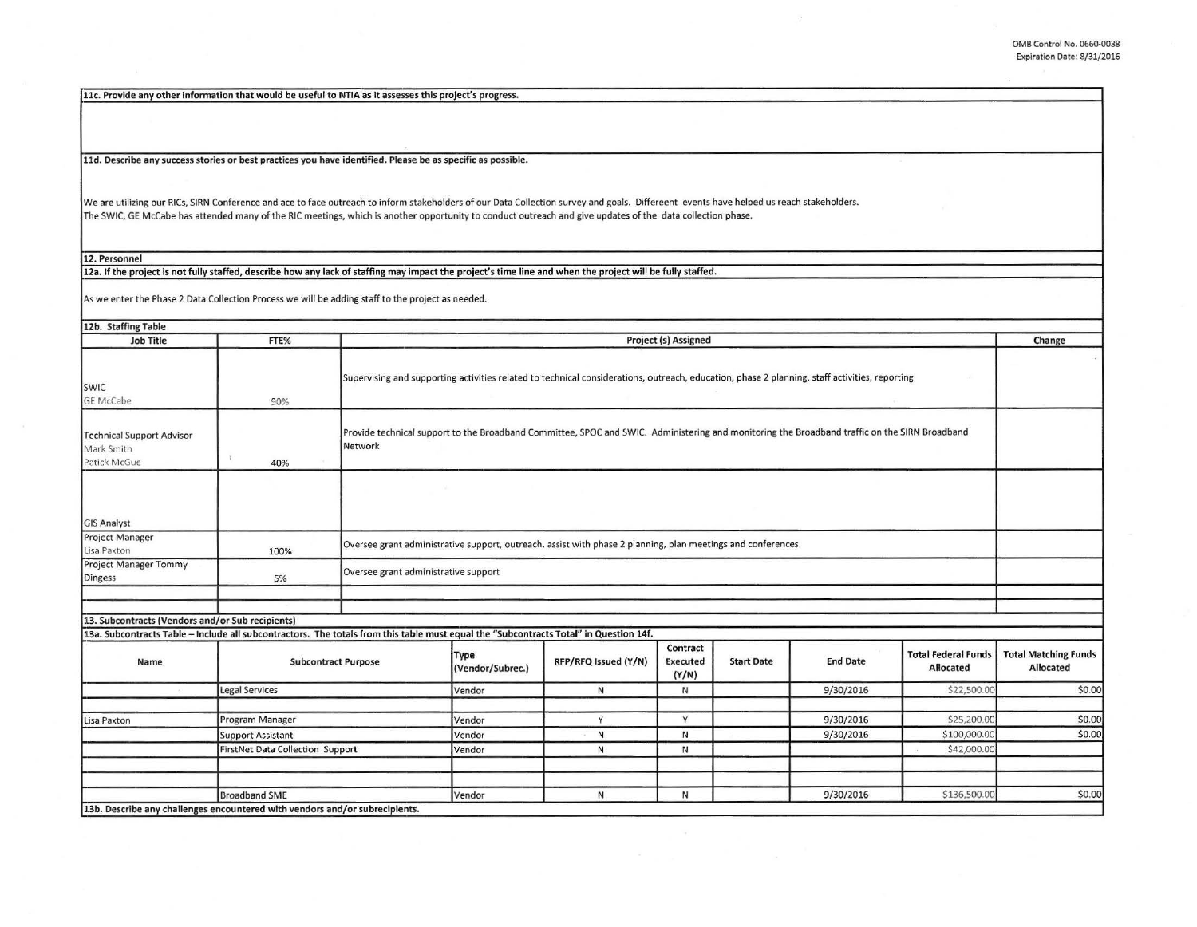I

I

11c. Provide any other information that would be useful to NTIA as it assesses this project's progress.

11d. Describe any success stories or best practices you have identified. Please be as specific as possible.

We are utilizing our RICs, SIRN Conference and ace to face outreach to inform stakeholders of our Data Collection survey and goals. Differeent events have helped us reach stakeholders. The SWIC, GE McCabe has attended many of the RIC meetings, which is another opportunity to conduct outreach and give updates of the data collection phase.

12. Personnel

12a. If the project is not fully staffed, describe how any lack of staffing may impact the project's time line and when the project will be fully staffed.

As we enter the Phase *2* Data Collection Process we will be adding staff to the project as needed.

| 12b. Staffing Table                                                                                                                   |                          |                                                                                                                                                          |        |                      |                               |                   |                 |                                         |                                          |
|---------------------------------------------------------------------------------------------------------------------------------------|--------------------------|----------------------------------------------------------------------------------------------------------------------------------------------------------|--------|----------------------|-------------------------------|-------------------|-----------------|-----------------------------------------|------------------------------------------|
| <b>Job Title</b>                                                                                                                      | FTE%                     | Project (s) Assigned                                                                                                                                     |        |                      |                               |                   |                 |                                         | Change                                   |
| SWIC<br>GE McCabe                                                                                                                     | 90%                      | Supervising and supporting activities related to technical considerations, outreach, education, phase 2 planning, staff activities, reporting            |        |                      |                               |                   |                 |                                         |                                          |
| <b>Technical Support Advisor</b><br>Mark Smith<br>Patick McGue                                                                        | 40%                      | Provide technical support to the Broadband Committee, SPOC and SWIC. Administering and monitoring the Broadband traffic on the SIRN Broadband<br>Network |        |                      |                               |                   |                 |                                         |                                          |
| <b>GIS Analyst</b>                                                                                                                    |                          |                                                                                                                                                          |        |                      |                               |                   |                 |                                         |                                          |
| Project Manager<br>Lisa Paxton                                                                                                        | 100%                     | Oversee grant administrative support, outreach, assist with phase 2 planning, plan meetings and conferences                                              |        |                      |                               |                   |                 |                                         |                                          |
| Project Manager Tommy<br>Dingess                                                                                                      | 5%                       | Oversee grant administrative support                                                                                                                     |        |                      |                               |                   |                 |                                         |                                          |
|                                                                                                                                       |                          |                                                                                                                                                          |        |                      |                               |                   |                 |                                         |                                          |
| 13. Subcontracts (Vendors and/or Sub recipients)                                                                                      |                          |                                                                                                                                                          |        |                      |                               |                   |                 |                                         |                                          |
| 13a. Subcontracts Table - Include all subcontractors. The totals from this table must equal the "Subcontracts Total" in Question 14f. |                          |                                                                                                                                                          |        |                      |                               |                   |                 |                                         |                                          |
| Name                                                                                                                                  |                          | <b>Subcontract Purpose</b>                                                                                                                               |        | RFP/RFQ Issued (Y/N) | Contract<br>Executed<br>(Y/N) | <b>Start Date</b> | <b>End Date</b> | <b>Total Federal Funds</b><br>Allocated | <b>Total Matching Funds</b><br>Allocated |
|                                                                                                                                       | <b>Legal Services</b>    |                                                                                                                                                          | Vendor | N                    | N                             |                   | 9/30/2016       | \$22,500.00                             | \$0.00                                   |
| Lisa Paxton                                                                                                                           | Program Manager          |                                                                                                                                                          | Vendor | Y                    | Y                             |                   | 9/30/2016       | \$25,200.00                             | \$0.00                                   |
|                                                                                                                                       | <b>Support Assistant</b> |                                                                                                                                                          | Vendor | N                    | N                             |                   | 9/30/2016       | \$100,000.00                            | \$0.00                                   |
|                                                                                                                                       |                          | FirstNet Data Collection Support                                                                                                                         |        | N                    | N                             |                   |                 | \$42,000.00                             |                                          |
|                                                                                                                                       |                          |                                                                                                                                                          |        |                      |                               |                   |                 |                                         |                                          |
|                                                                                                                                       | <b>Broadband SME</b>     |                                                                                                                                                          | Vendor | N                    | N                             |                   | 9/30/2016       | \$136,500.00                            | \$0.00                                   |
| 13b. Describe any challenges encountered with vendors and/or subrecipients.                                                           |                          |                                                                                                                                                          |        |                      |                               |                   |                 |                                         |                                          |